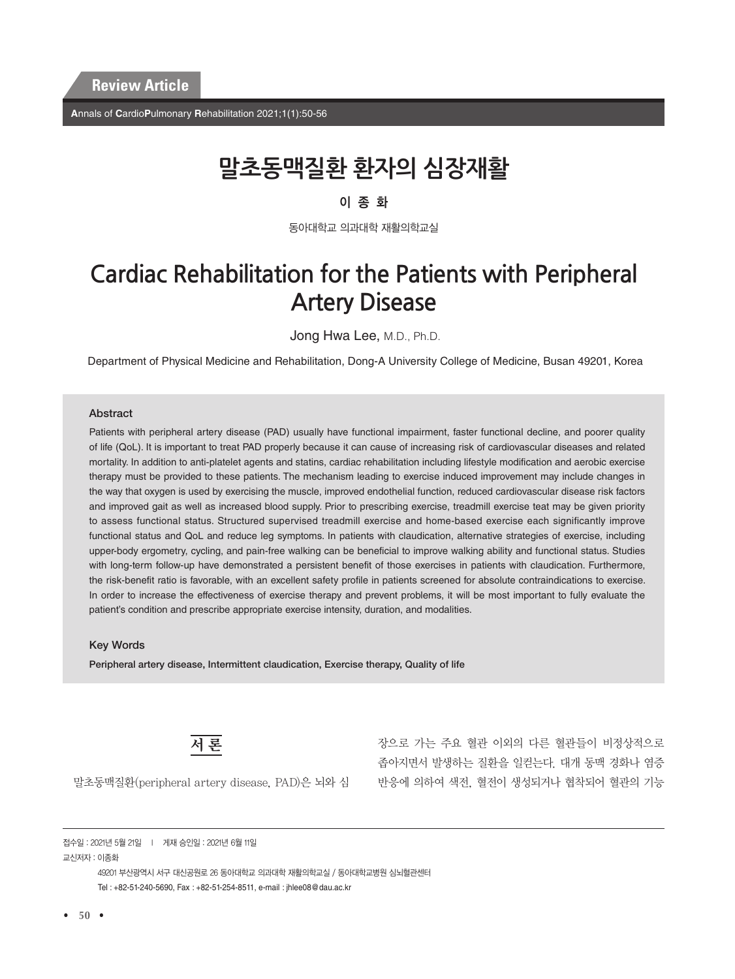**A**nnals of **C**ardio**P**ulmonary **R**ehabilitation 2021;1(1):50-56

# **말초동맥질환 환자의 심장재활**

#### 이종화

동아대학교 의과대학 재활의학교실

## **Cardiac Rehabilitation for the Patients with Peripheral Artery Disease**

Jong Hwa Lee, M.D., Ph.D.

Department of Physical Medicine and Rehabilitation, Dong-A University College of Medicine, Busan 49201, Korea

#### **Abstract**

Patients with peripheral artery disease (PAD) usually have functional impairment, faster functional decline, and poorer quality of life (QoL). It is important to treat PAD properly because it can cause of increasing risk of cardiovascular diseases and related mortality. In addition to anti-platelet agents and statins, cardiac rehabilitation including lifestyle modification and aerobic exercise therapy must be provided to these patients. The mechanism leading to exercise induced improvement may include changes in the way that oxygen is used by exercising the muscle, improved endothelial function, reduced cardiovascular disease risk factors and improved gait as well as increased blood supply. Prior to prescribing exercise, treadmill exercise teat may be given priority to assess functional status. Structured supervised treadmill exercise and home-based exercise each significantly improve functional status and QoL and reduce leg symptoms. In patients with claudication, alternative strategies of exercise, including upper-body ergometry, cycling, and pain-free walking can be beneficial to improve walking ability and functional status. Studies with long-term follow-up have demonstrated a persistent benefit of those exercises in patients with claudication. Furthermore, the risk-benefit ratio is favorable, with an excellent safety profile in patients screened for absolute contraindications to exercise. In order to increase the effectiveness of exercise therapy and prevent problems, it will be most important to fully evaluate the patient's condition and prescribe appropriate exercise intensity, duration, and modalities.

#### Key Words

Peripheral artery disease, Intermittent claudication, Exercise therapy, Quality of life



장으로 가는 주요 혈관 이외의 다른 혈관들이 비정상적으로 좁아지면서 발생하는 질환을 일컫는다. 대개 동맥 경화나 염증 반응에 의하여 색전, 혈전이 생성되거나 협착되어 혈관의 기능

말초동맥질환(peripheral artery disease, PAD)은 뇌와 심

접수일 : 2021년 5월 21일 l 게재 승인일 : 2021년 6월 11일 교신저자 : 이종화

> 49201 부산광역시 서구 대신공원로 26 동아대학교 의과대학 재활의학교실 / 동아대학교병원 심뇌혈관센터 Tel : +82-51-240-5690, Fax : +82-51-254-8511, e-mail : jhlee08@dau.ac.kr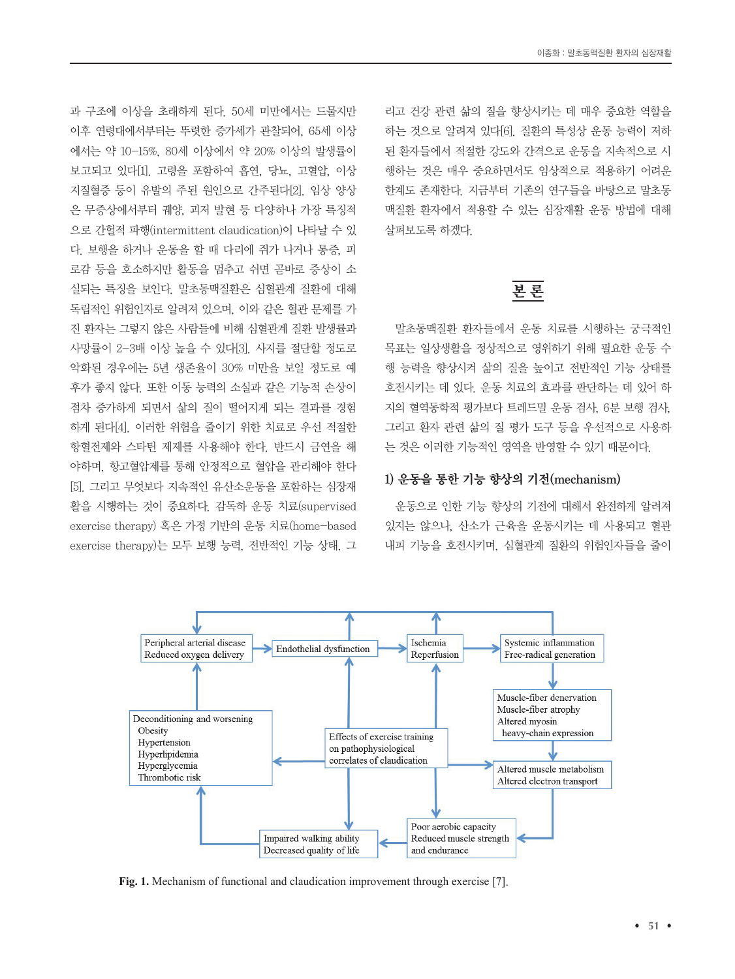과 구조에 이상을 초래하게 된다. 50세 미만에서는 드물지만 이후 연령대에서부터는 뚜렷한 증가세가 관찰되어, 65세 이상 에서는 약 10-15%, 80세 이상에서 약 20% 이상의 발생률이 보고되고 있다[1]. 고령을 포함하여 흡연, 당뇨, 고혈압, 이상 지질혈증 등이 유발의 주된 원인으로 간주된다[2]. 임상 양상 은 무증상에서부터 궤양, 괴저 발현 등 다양하나 가장 특징적 으로 간헐적 파행(intermittent claudication)이 나타날 수 있 다. 보행을 하거나 운동을 할 때 다리에 쥐가 나거나 통증, 피 로감 등을 호소하지만 활동을 멈추고 쉬면 곧바로 증상이 소 실되는 특징을 보인다. 말초동맥질환은 심혈관계 질환에 대해 독립적인 위험인자로 알려져 있으며, 이와 같은 혈관 문제를 가 진 환자는 그렇지 않은 사람들에 비해 심혈관계 질환 발생률과 사망률이 2-3배 이상 높을 수 있다[3]. 사지를 절단할 정도로 악화된 경우에는 5년 생존율이 30% 미만을 보일 정도로 예 후가 좋지 않다. 또한 이동 능력의 소실과 같은 기능적 손상이 점차 증가하게 되면서 삶의 질이 떨어지게 되는 결과를 경험 하게 된다[4]. 이러한 위험을 줄이기 위한 치료로 우선 적절한 항혈전제와 스타틴 제제를 사용해야 한다. 반드시 금연을 해 야하며, 항고혈압제를 통해 안정적으로 혈압을 관리해야 한다 [5]. 그리고 무엇보다 지속적인 유산소운동을 포함하는 심장재 활을 시행하는 것이 중요하다. 감독하 운동 치료(supervised exercise therapy) 혹은 가정 기반의 운동 치료(home-based exercise therapy)는 모두 보행 능력, 전반적인 기능 상태, 그 리고 건강 관련 삶의 질을 향상시키는 데 매우 중요한 역할을 하는 것으로 알려져 있다[6]. 질환의 특성상 운동 능력이 저하 된 환자들에서 적절한 강도와 간격으로 운동을 지속적으로 시 행하는 것은 매우 중요하면서도 임상적으로 적용하기 어려운 한계도 존재한다. 지금부터 기존의 연구들을 바탕으로 말초동 맥질환 환자에서 적용할 수 있는 심장재활 운동 방법에 대해 살펴보도록 하겠다.

## 본 론

말초동맥질환 환자들에서 운동 치료를 시행하는 궁극적인 목표는 일상생활을 정상적으로 영위하기 위해 필요한 운동 수 행 능력을 향상시켜 삶의 질을 높이고 전반적인 기능 상태를 호전시키는 데 있다. 운동 치료의 효과를 판단하는 데 있어 하 지의 혈역동학적 평가보다 트레드밀 운동 검사, 6분 보행 검사, 그리고 환자 관련 삶의 질 평가 도구 등을 우선적으로 사용하 는 것은 이러한 기능적인 영역을 반영할 수 있기 때문이다.

#### 1) 운동을 통한 기능 향상의 기전(mechanism)

운동으로 인한 기능 향상의 기전에 대해서 완전하게 알려져 있지는 않으나, 산소가 근육을 운동시키는 데 사용되고 혈관 내피 기능을 호전시키며, 심혈관계 질환의 위험인자들을 줄이



**Fig. 1.** Mechanism of functional and claudication improvement through exercise [7].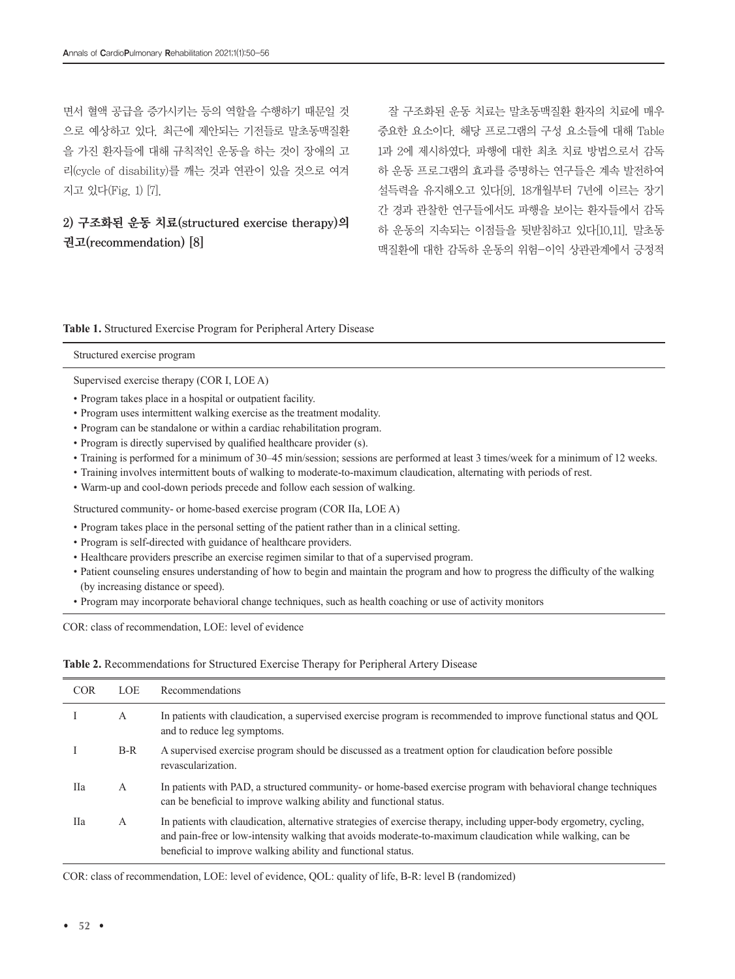면서 혈액 공급을 증가시키는 등의 역할을 수행하기 때문일 것 으로 예상하고 있다. 최근에 제안되는 기전들로 말초동맥질환 을 가진 환자들에 대해 규칙적인 운동을 하는 것이 장애의 고 리(cycle of disability)를 깨는 것과 연관이 있을 것으로 여겨 지고 있다(Fig. 1) [7].

### 2) 구조화된 운동 치료(structured exercise therapy)의 권고(recommendation) [8]

잘 구조화된 운동 치료는 말초동맥질환 환자의 치료에 매우 중요한 요소이다. 해당 프로그램의 구성 요소들에 대해 Table 1과 2에 제시하였다. 파행에 대한 최초 치료 방법으로서 감독 하 운동 프로그램의 효과를 증명하는 연구들은 계속 발전하여 설득력을 유지해오고 있다[9]. 18개월부터 7년에 이르는 장기 간 경과 관찰한 연구들에서도 파행을 보이는 환자들에서 감독 하 운동의 지속되는 이점들을 뒷받침하고 있다[10,11]. 말초동 맥질환에 대한 감독하 운동의 위험-이익 상관관계에서 긍정적

#### **Table 1.** Structured Exercise Program for Peripheral Artery Disease

Structured exercise program

Supervised exercise therapy (COR I, LOE A)

- Program takes place in a hospital or outpatient facility.
- Program uses intermittent walking exercise as the treatment modality.
- Program can be standalone or within a cardiac rehabilitation program.
- Program is directly supervised by qualified healthcare provider (s).
- Training is performed for a minimum of 30–45 min/session; sessions are performed at least 3 times/week for a minimum of 12 weeks.
- Training involves intermittent bouts of walking to moderate-to-maximum claudication, alternating with periods of rest.
- Warm-up and cool-down periods precede and follow each session of walking.

Structured community- or home-based exercise program (COR IIa, LOE A)

- Program takes place in the personal setting of the patient rather than in a clinical setting.
- Program is self-directed with guidance of healthcare providers.
- Healthcare providers prescribe an exercise regimen similar to that of a supervised program.
- Patient counseling ensures understanding of how to begin and maintain the program and how to progress the difficulty of the walking (by increasing distance or speed).
- Program may incorporate behavioral change techniques, such as health coaching or use of activity monitors

COR: class of recommendation, LOE: level of evidence

#### **Table 2.** Recommendations for Structured Exercise Therapy for Peripheral Artery Disease

| <b>COR</b> | <b>LOE</b> | Recommendations                                                                                                                                                                                                                                                                                  |
|------------|------------|--------------------------------------------------------------------------------------------------------------------------------------------------------------------------------------------------------------------------------------------------------------------------------------------------|
|            | A          | In patients with claudication, a supervised exercise program is recommended to improve functional status and QOL<br>and to reduce leg symptoms.                                                                                                                                                  |
|            | $B-R$      | A supervised exercise program should be discussed as a treatment option for claudication before possible<br>revascularization.                                                                                                                                                                   |
| Пa         | A          | In patients with PAD, a structured community- or home-based exercise program with behavioral change techniques<br>can be beneficial to improve walking ability and functional status.                                                                                                            |
| Пa         | А          | In patients with claudication, alternative strategies of exercise therapy, including upper-body ergometry, cycling,<br>and pain-free or low-intensity walking that avoids moderate-to-maximum claudication while walking, can be<br>beneficial to improve walking ability and functional status. |

COR: class of recommendation, LOE: level of evidence, QOL: quality of life, B-R: level B (randomized)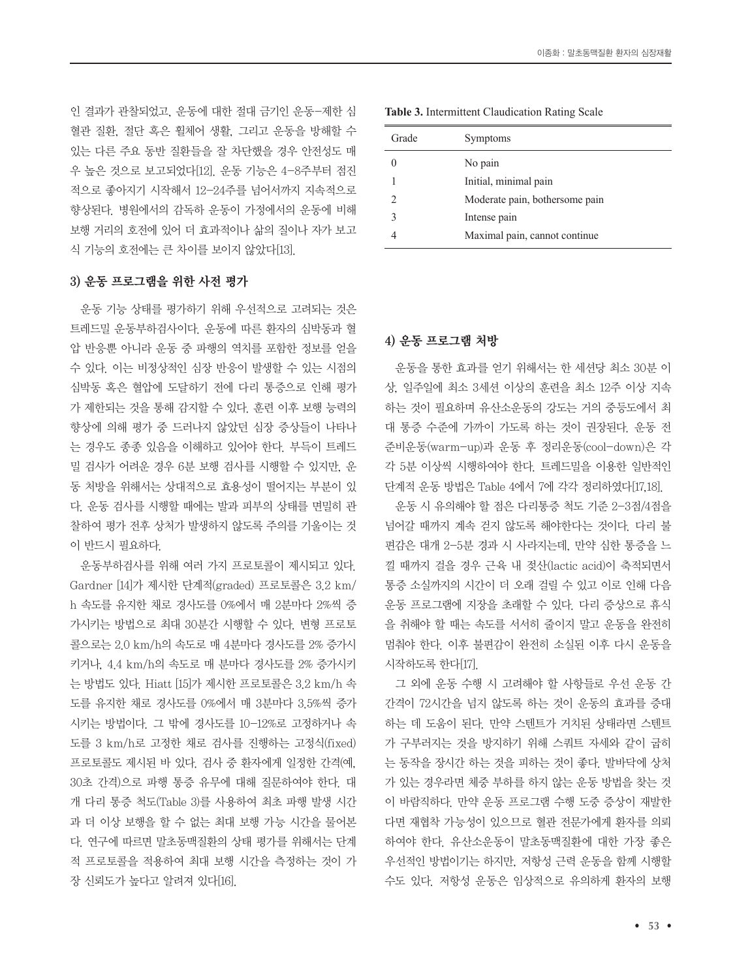인 결과가 관찰되었고, 운동에 대한 절대 금기인 운동-제한 심 혈관 질환, 절단 혹은 휠체어 생활, 그리고 운동을 방해할 수 있는 다른 주요 동반 질환들을 잘 차단했을 경우 안전성도 매 우 높은 것으로 보고되었다[12]. 운동 기능은 4-8주부터 점진 적으로 좋아지기 시작해서 12-24주를 넘어서까지 지속적으로 향상된다. 병원에서의 감독하 운동이 가정에서의 운동에 비해 보행 거리의 호전에 있어 더 효과적이나 삶의 질이나 자가 보고 식 기능의 호전에는 큰 차이를 보이지 않았다[13].

#### 3) 운동 프로그램을 위한 사전 평가

운동 기능 상태를 평가하기 위해 우선적으로 고려되는 것은 트레드밀 운동부하검사이다. 운동에 따른 환자의 심박동과 혈 압 반응뿐 아니라 운동 중 파행의 역치를 포함한 정보를 얻을 수 있다. 이는 비정상적인 심장 반응이 발생할 수 있는 시점의 심박동 혹은 혈압에 도달하기 전에 다리 통증으로 인해 평가 가 제한되는 것을 통해 감지할 수 있다. 훈련 이후 보행 능력의 향상에 의해 평가 중 드러나지 않았던 심장 증상들이 나타나 는 경우도 종종 있음을 이해하고 있어야 한다. 부득이 트레드 밀 검사가 어려운 경우 6분 보행 검사를 시행할 수 있지만, 운 동 처방을 위해서는 상대적으로 효용성이 떨어지는 부분이 있 다. 운동 검사를 시행할 때에는 발과 피부의 상태를 면밀히 관 찰하여 평가 전후 상처가 발생하지 않도록 주의를 기울이는 것 이 반드시 필요하다.

운동부하검사를 위해 여러 가지 프로토콜이 제시되고 있다. Gardner [14]가 제시한 단계적(graded) 프로토콜은 3.2 km/ h 속도를 유지한 채로 경사도를 0%에서 매 2분마다 2%씩 증 가시키는 방법으로 최대 30분간 시행할 수 있다. 변형 프로토 콜으로는 2.0 km/h의 속도로 매 4분마다 경사도를 2% 증가시 키거나, 4.4 km/h의 속도로 매 분마다 경사도를 2% 증가시키 는 방법도 있다. Hiatt [15]가 제시한 프로토콜은 3.2 km/h 속 도를 유지한 채로 경사도를 0%에서 매 3분마다 3.5%씩 증가 시키는 방법이다. 그 밖에 경사도를 10-12%로 고정하거나 속 도를 3 km/h로 고정한 채로 검사를 진행하는 고정식(fixed) 프로토콜도 제시된 바 있다. 검사 중 환자에게 일정한 간격(예, 30초 간격)으로 파행 통증 유무에 대해 질문하여야 한다. 대 개 다리 통증 척도(Table 3)를 사용하여 최초 파행 발생 시간 과 더 이상 보행을 할 수 없는 최대 보행 가능 시간을 물어본 다. 연구에 따르면 말초동맥질환의 상태 평가를 위해서는 단계 적 프로토콜을 적용하여 최대 보행 시간을 측정하는 것이 가 장 신뢰도가 높다고 알려져 있다[16].

| Grade | Symptoms                       |
|-------|--------------------------------|
|       | No pain                        |
|       | Initial, minimal pain          |
| っ     | Moderate pain, bothersome pain |
| ς     | Intense pain                   |
|       | Maximal pain, cannot continue  |
|       |                                |

#### **Table 3.** Intermittent Claudication Rating Scale

#### 4) 운동 프로그램 처방

운동을 통한 효과를 얻기 위해서는 한 세션당 최소 30분 이 상, 일주일에 최소 3세션 이상의 훈련을 최소 12주 이상 지속 하는 것이 필요하며 유산소운동의 강도는 거의 중등도에서 최 대 통증 수준에 가까이 가도록 하는 것이 권장된다. 운동 전 준비운동(warm-up)과 운동 후 정리운동(cool-down)은 각 각 5분 이상씩 시행하여야 한다. 트레드밀을 이용한 일반적인 단계적 운동 방법은 Table 4에서 7에 각각 정리하였다[17,18].

운동 시 유의해야 할 점은 다리통증 척도 기준 2-3점/4점을 넘어갈 때까지 계속 걷지 않도록 해야한다는 것이다. 다리 불 편감은 대개 2-5분 경과 시 사라지는데, 만약 심한 통증을 느 낄 때까지 걸을 경우 근육 내 젖산(lactic acid)이 축적되면서 통증 소실까지의 시간이 더 오래 걸릴 수 있고 이로 인해 다음 운동 프로그램에 지장을 초래할 수 있다. 다리 증상으로 휴식 을 취해야 할 때는 속도를 서서히 줄이지 말고 운동을 완전히 멈춰야 한다. 이후 불편감이 완전히 소실된 이후 다시 운동을 시작하도록 한다[17].

그 외에 운동 수행 시 고려해야 할 사항들로 우선 운동 간 간격이 72시간을 넘지 않도록 하는 것이 운동의 효과를 증대 하는 데 도움이 된다. 만약 스텐트가 거치된 상태라면 스텐트 가 구부러지는 것을 방지하기 위해 스쿼트 자세와 같이 굽히 는 동작을 장시간 하는 것을 피하는 것이 좋다. 발바닥에 상처 가 있는 경우라면 체중 부하를 하지 않는 운동 방법을 찾는 것 이 바람직하다. 만약 운동 프로그램 수행 도중 증상이 재발한 다면 재협착 가능성이 있으므로 혈관 전문가에게 환자를 의뢰 하여야 한다. 유산소운동이 말초동맥질환에 대한 가장 좋은 우선적인 방법이기는 하지만, 저항성 근력 운동을 함께 시행할 수도 있다. 저항성 운동은 임상적으로 유의하게 환자의 보행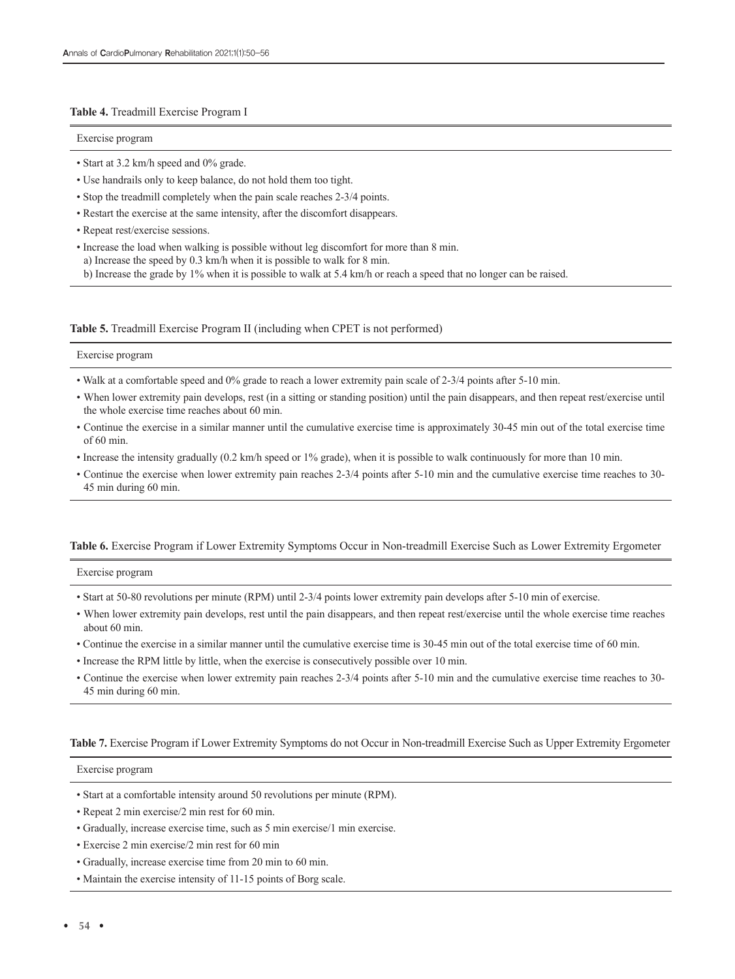#### **Table 4.** Treadmill Exercise Program I

Exercise program

- Start at 3.2 km/h speed and 0% grade.
- Use handrails only to keep balance, do not hold them too tight.
- Stop the treadmill completely when the pain scale reaches 2-3/4 points.
- Restart the exercise at the same intensity, after the discomfort disappears.
- Repeat rest/exercise sessions.
- Increase the load when walking is possible without leg discomfort for more than 8 min. a) Increase the speed by 0.3 km/h when it is possible to walk for 8 min.

b) Increase the grade by 1% when it is possible to walk at 5.4 km/h or reach a speed that no longer can be raised.

#### **Table 5.** Treadmill Exercise Program II (including when CPET is not performed)

#### Exercise program

- Walk at a comfortable speed and 0% grade to reach a lower extremity pain scale of 2-3/4 points after 5-10 min.
- When lower extremity pain develops, rest (in a sitting or standing position) until the pain disappears, and then repeat rest/exercise until the whole exercise time reaches about 60 min.
- Continue the exercise in a similar manner until the cumulative exercise time is approximately 30-45 min out of the total exercise time  $of 60 min$
- Increase the intensity gradually (0.2 km/h speed or 1% grade), when it is possible to walk continuously for more than 10 min.
- Continue the exercise when lower extremity pain reaches 2-3/4 points after 5-10 min and the cumulative exercise time reaches to 30- 45 min during 60 min.

#### **Table 6.** Exercise Program if Lower Extremity Symptoms Occur in Non-treadmill Exercise Such as Lower Extremity Ergometer

#### Exercise program

- Start at 50-80 revolutions per minute (RPM) until 2-3/4 points lower extremity pain develops after 5-10 min of exercise.
- When lower extremity pain develops, rest until the pain disappears, and then repeat rest/exercise until the whole exercise time reaches about 60 min.
- Continue the exercise in a similar manner until the cumulative exercise time is 30-45 min out of the total exercise time of 60 min.
- Increase the RPM little by little, when the exercise is consecutively possible over 10 min.
- Continue the exercise when lower extremity pain reaches 2-3/4 points after 5-10 min and the cumulative exercise time reaches to 30- 45 min during 60 min.

#### **Table 7.** Exercise Program if Lower Extremity Symptoms do not Occur in Non-treadmill Exercise Such as Upper Extremity Ergometer

#### Exercise program

- Start at a comfortable intensity around 50 revolutions per minute (RPM).
- Repeat 2 min exercise/2 min rest for 60 min.
- Gradually, increase exercise time, such as 5 min exercise/1 min exercise.
- Exercise 2 min exercise/2 min rest for 60 min
- Gradually, increase exercise time from 20 min to 60 min.
- Maintain the exercise intensity of 11-15 points of Borg scale.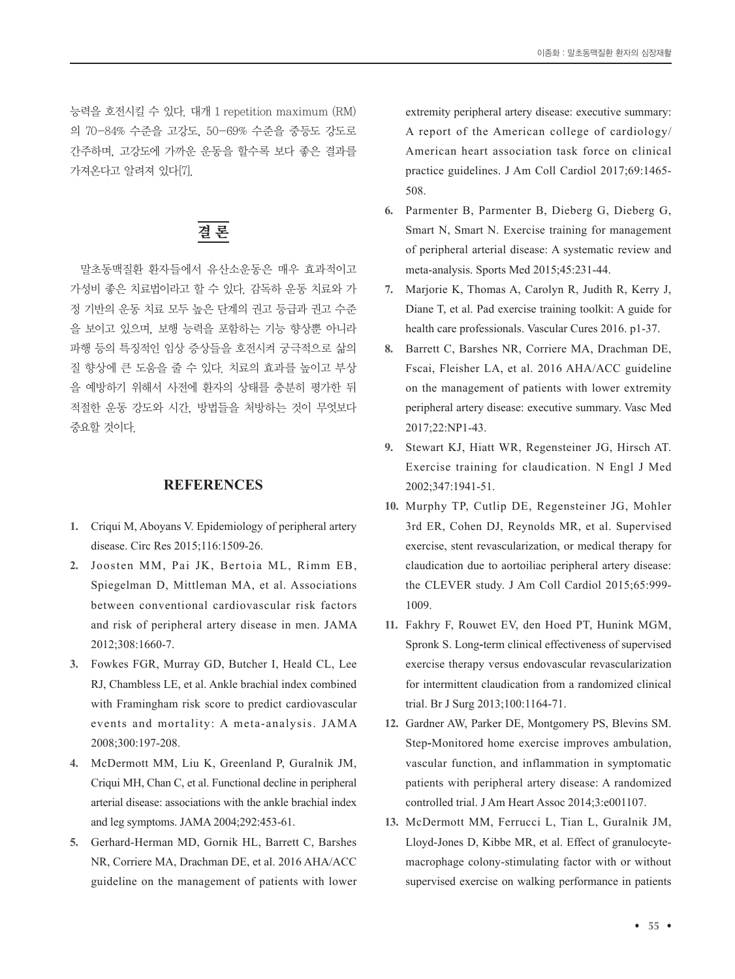능력을 호전시킬 수 있다. 대개 1 repetition maximum (RM) 의 70-84% 수준을 고강도, 50-69% 수준을 중등도 강도로 간주하며, 고강도에 가까운 운동을 할수록 보다 좋은 결과를 가져온다고 알려져 있다[7].

## 결 론

말초동맥질환 환자들에서 유산소운동은 매우 효과적이고 가성비 좋은 치료법이라고 할 수 있다. 감독하 운동 치료와 가 정 기반의 운동 치료 모두 높은 단계의 권고 등급과 권고 수준 을 보이고 있으며, 보행 능력을 포함하는 기능 향상뿐 아니라 파행 등의 특징적인 임상 증상들을 호전시켜 궁극적으로 삶의 질 향상에 큰 도움을 줄 수 있다. 치료의 효과를 높이고 부상 을 예방하기 위해서 사전에 환자의 상태를 충분히 평가한 뒤 적절한 운동 강도와 시간, 방법들을 처방하는 것이 무엇보다 중요할 것이다.

#### **REFERENCES**

- **1.** Criqui M, Aboyans V. Epidemiology of peripheral artery disease. Circ Res 2015;116:1509-26.
- **2.** Joosten MM, Pai JK, Bertoia ML, Rimm EB, Spiegelman D, Mittleman MA, et al. Associations between conventional cardiovascular risk factors and risk of peripheral artery disease in men. JAMA 2012;308:1660-7.
- **3.** Fowkes FGR, Murray GD, Butcher I, Heald CL, Lee RJ, Chambless LE, et al. Ankle brachial index combined with Framingham risk score to predict cardiovascular events and mortality: A meta-analysis. JAMA 2008;300:197-208.
- **4.** McDermott MM, Liu K, Greenland P, Guralnik JM, Criqui MH, Chan C, et al. Functional decline in peripheral arterial disease: associations with the ankle brachial index and leg symptoms. JAMA 2004;292:453-61.
- **5.** Gerhard-Herman MD, Gornik HL, Barrett C, Barshes NR, Corriere MA, Drachman DE, et al. 2016 AHA/ACC guideline on the management of patients with lower

extremity peripheral artery disease: executive summary: A report of the American college of cardiology/ American heart association task force on clinical practice guidelines. J Am Coll Cardiol 2017;69:1465- 508.

- **6.** Parmenter B, Parmenter B, Dieberg G, Dieberg G, Smart N, Smart N. Exercise training for management of peripheral arterial disease: A systematic review and meta-analysis. Sports Med 2015;45:231-44.
- **7.** Marjorie K, Thomas A, Carolyn R, Judith R, Kerry J, Diane T, et al. Pad exercise training toolkit: A guide for health care professionals. Vascular Cures 2016. p1-37.
- **8.** Barrett C, Barshes NR, Corriere MA, Drachman DE, Fscai, Fleisher LA, et al. 2016 AHA/ACC guideline on the management of patients with lower extremity peripheral artery disease: executive summary. Vasc Med 2017;22:NP1-43.
- **9.** Stewart KJ, Hiatt WR, Regensteiner JG, Hirsch AT. Exercise training for claudication. N Engl J Med 2002;347:1941-51.
- **10.** Murphy TP, Cutlip DE, Regensteiner JG, Mohler 3rd ER, Cohen DJ, Reynolds MR, et al. Supervised exercise, stent revascularization, or medical therapy for claudication due to aortoiliac peripheral artery disease: the CLEVER study. J Am Coll Cardiol 2015;65:999- 1009.
- **11.** Fakhry F, Rouwet EV, den Hoed PT, Hunink MGM, Spronk S. Long**-**term clinical effectiveness of supervised exercise therapy versus endovascular revascularization for intermittent claudication from a randomized clinical trial. Br J Surg 2013;100:1164-71.
- **12.** Gardner AW, Parker DE, Montgomery PS, Blevins SM. Step**-**Monitored home exercise improves ambulation, vascular function, and inflammation in symptomatic patients with peripheral artery disease: A randomized controlled trial. J Am Heart Assoc 2014;3:e001107.
- **13.** McDermott MM, Ferrucci L, Tian L, Guralnik JM, Lloyd-Jones D, Kibbe MR, et al. Effect of granulocytemacrophage colony-stimulating factor with or without supervised exercise on walking performance in patients